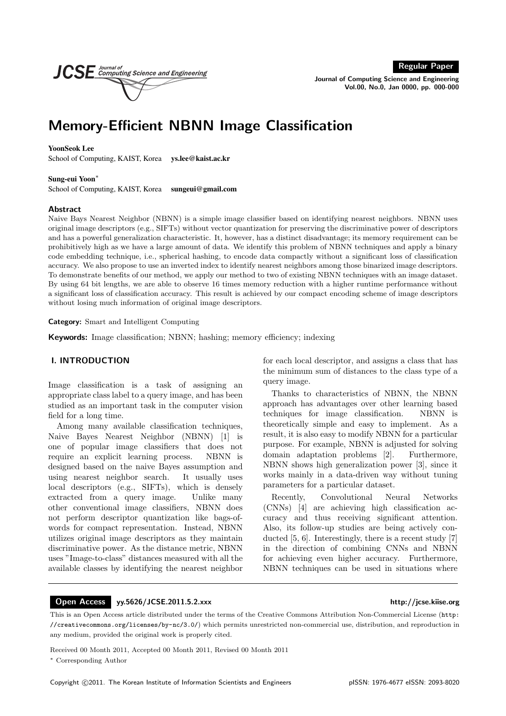Regular Paper

Journal of Computing Science and Engineering Vol.00, No.0, Jan 0000, pp. 000-000

# Memory-Efficient NBNN Image Classification

# YoonSeok Lee

School of Computing, KAIST, Korea ys.lee@kaist.ac.kr

**JCS** E Computing Science and Engineering

#### Sung-eui Yoon<sup>∗</sup>

School of Computing, KAIST, Korea sungeui@gmail.com

#### Abstract

Naive Bays Nearest Neighbor (NBNN) is a simple image classifier based on identifying nearest neighbors. NBNN uses original image descriptors (e.g., SIFTs) without vector quantization for preserving the discriminative power of descriptors and has a powerful generalization characteristic. It, however, has a distinct disadvantage; its memory requirement can be prohibitively high as we have a large amount of data. We identify this problem of NBNN techniques and apply a binary code embedding technique, i.e., spherical hashing, to encode data compactly without a significant loss of classification accuracy. We also propose to use an inverted index to identify nearest neighbors among those binarized image descriptors. To demonstrate benefits of our method, we apply our method to two of existing NBNN techniques with an image dataset. By using 64 bit lengths, we are able to observe 16 times memory reduction with a higher runtime performance without a significant loss of classification accuracy. This result is achieved by our compact encoding scheme of image descriptors without losing much information of original image descriptors.

Category: Smart and Intelligent Computing

Keywords: Image classification; NBNN; hashing; memory efficiency; indexing

# I. INTRODUCTION

Image classification is a task of assigning an appropriate class label to a query image, and has been studied as an important task in the computer vision field for a long time.

Among many available classification techniques, Naive Bayes Nearest Neighbor (NBNN) [1] is one of popular image classifiers that does not require an explicit learning process. NBNN is designed based on the naive Bayes assumption and using nearest neighbor search. It usually uses local descriptors (e.g., SIFTs), which is densely extracted from a query image. Unlike many other conventional image classifiers, NBNN does not perform descriptor quantization like bags-ofwords for compact representation. Instead, NBNN utilizes original image descriptors as they maintain discriminative power. As the distance metric, NBNN uses "Image-to-class" distances measured with all the available classes by identifying the nearest neighbor

for each local descriptor, and assigns a class that has the minimum sum of distances to the class type of a query image.

Thanks to characteristics of NBNN, the NBNN approach has advantages over other learning based techniques for image classification. NBNN is theoretically simple and easy to implement. As a result, it is also easy to modify NBNN for a particular purpose. For example, NBNN is adjusted for solving domain adaptation problems [2]. Furthermore, NBNN shows high generalization power [3], since it works mainly in a data-driven way without tuning parameters for a particular dataset.

Recently, Convolutional Neural Networks (CNNs) [4] are achieving high classification accuracy and thus receiving significant attention. Also, its follow-up studies are being actively conducted [5, 6]. Interestingly, there is a recent study [7] in the direction of combining CNNs and NBNN for achieving even higher accuracy. Furthermore, NBNN techniques can be used in situations where

#### Open Access yy.5626/JCSE.2011.5.2.xxx http://jcse.kiise.org

This is an Open Access article distributed under the terms of the Creative Commons Attribution Non-Commercial License (http: //creativecommons.org/licenses/by-nc/3.0/) which permits unrestricted non-commercial use, distribution, and reproduction in any medium, provided the original work is properly cited.

Received 00 Month 2011, Accepted 00 Month 2011, Revised 00 Month 2011

<sup>∗</sup> Corresponding Author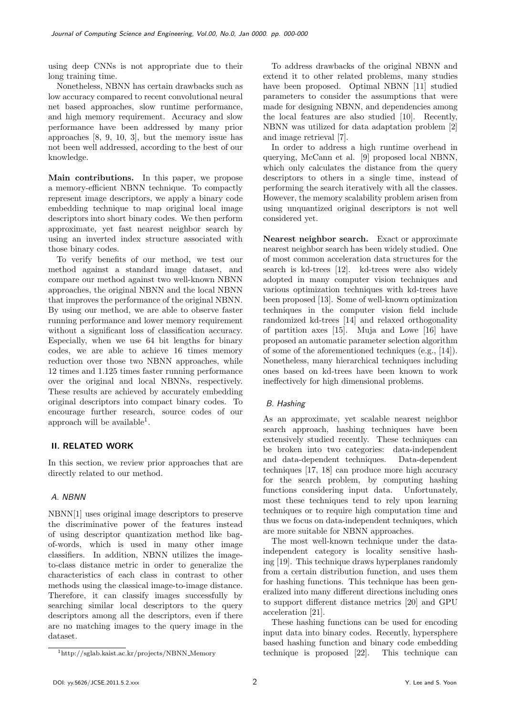using deep CNNs is not appropriate due to their long training time.

Nonetheless, NBNN has certain drawbacks such as low accuracy compared to recent convolutional neural net based approaches, slow runtime performance, and high memory requirement. Accuracy and slow performance have been addressed by many prior approaches [8, 9, 10, 3], but the memory issue has not been well addressed, according to the best of our knowledge.

Main contributions. In this paper, we propose a memory-efficient NBNN technique. To compactly represent image descriptors, we apply a binary code embedding technique to map original local image descriptors into short binary codes. We then perform approximate, yet fast nearest neighbor search by using an inverted index structure associated with those binary codes.

To verify benefits of our method, we test our method against a standard image dataset, and compare our method against two well-known NBNN approaches, the original NBNN and the local NBNN that improves the performance of the original NBNN. By using our method, we are able to observe faster running performance and lower memory requirement without a significant loss of classification accuracy. Especially, when we use 64 bit lengths for binary codes, we are able to achieve 16 times memory reduction over those two NBNN approaches, while 12 times and 1.125 times faster running performance over the original and local NBNNs, respectively. These results are achieved by accurately embedding original descriptors into compact binary codes. To encourage further research, source codes of our approach will be available<sup>1</sup>.

# II. RELATED WORK

In this section, we review prior approaches that are directly related to our method.

# A. NBNN

NBNN[1] uses original image descriptors to preserve the discriminative power of the features instead of using descriptor quantization method like bagof-words, which is used in many other image classifiers. In addition, NBNN utilizes the imageto-class distance metric in order to generalize the characteristics of each class in contrast to other methods using the classical image-to-image distance. Therefore, it can classify images successfully by searching similar local descriptors to the query descriptors among all the descriptors, even if there are no matching images to the query image in the dataset.

To address drawbacks of the original NBNN and extend it to other related problems, many studies have been proposed. Optimal NBNN [11] studied parameters to consider the assumptions that were made for designing NBNN, and dependencies among the local features are also studied [10]. Recently, NBNN was utilized for data adaptation problem [2] and image retrieval [7].

In order to address a high runtime overhead in querying, McCann et al. [9] proposed local NBNN, which only calculates the distance from the query descriptors to others in a single time, instead of performing the search iteratively with all the classes. However, the memory scalability problem arisen from using unquantized original descriptors is not well considered yet.

Nearest neighbor search. Exact or approximate nearest neighbor search has been widely studied. One of most common acceleration data structures for the search is kd-trees [12]. kd-trees were also widely adopted in many computer vision techniques and various optimization techniques with kd-trees have been proposed [13]. Some of well-known optimization techniques in the computer vision field include randomized kd-trees [14] and relaxed orthogonality of partition axes [15]. Muja and Lowe [16] have proposed an automatic parameter selection algorithm of some of the aforementioned techniques (e.g., [14]). Nonetheless, many hierarchical techniques including ones based on kd-trees have been known to work ineffectively for high dimensional problems.

# B. Hashing

As an approximate, yet scalable nearest neighbor search approach, hashing techniques have been extensively studied recently. These techniques can be broken into two categories: data-independent and data-dependent techniques. Data-dependent techniques [17, 18] can produce more high accuracy for the search problem, by computing hashing functions considering input data. Unfortunately, most these techniques tend to rely upon learning techniques or to require high computation time and thus we focus on data-independent techniques, which are more suitable for NBNN approaches.

The most well-known technique under the dataindependent category is locality sensitive hashing [19]. This technique draws hyperplanes randomly from a certain distribution function, and uses them for hashing functions. This technique has been generalized into many different directions including ones to support different distance metrics [20] and GPU acceleration [21].

These hashing functions can be used for encoding input data into binary codes. Recently, hypersphere based hashing function and binary code embedding technique is proposed [22]. This technique can

<sup>1</sup>http://sglab.kaist.ac.kr/projects/NBNN Memory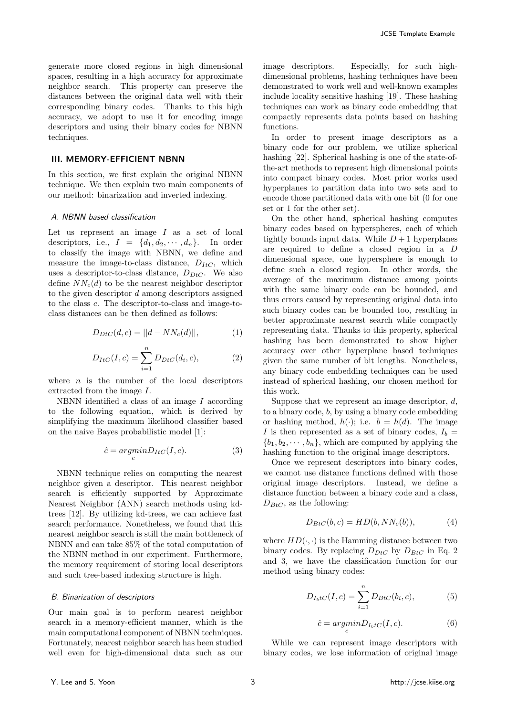generate more closed regions in high dimensional spaces, resulting in a high accuracy for approximate neighbor search. This property can preserve the distances between the original data well with their corresponding binary codes. Thanks to this high accuracy, we adopt to use it for encoding image descriptors and using their binary codes for NBNN techniques.

# III. MEMORY-EFFICIENT NBNN

In this section, we first explain the original NBNN technique. We then explain two main components of our method: binarization and inverted indexing.

#### A. NBNN based classification

Let us represent an image  $I$  as a set of local descriptors, i.e.,  $I = \{d_1, d_2, \dots, d_n\}$ . In order to classify the image with NBNN, we define and measure the image-to-class distance,  $D_{ItC}$ , which uses a descriptor-to-class distance,  $D_{DtC}$ . We also define  $NN_c(d)$  to be the nearest neighbor descriptor to the given descriptor  $d$  among descriptors assigned to the class c. The descriptor-to-class and image-toclass distances can be then defined as follows:

$$
D_{DtC}(d, c) = ||d - NN_c(d)||,
$$
 (1)

$$
D_{ItC}(I,c) = \sum_{i=1}^{n} D_{DtC}(d_i, c),
$$
 (2)

where  $n$  is the number of the local descriptors extracted from the image I.

NBNN identified a class of an image I according to the following equation, which is derived by simplifying the maximum likelihood classifier based on the naive Bayes probabilistic model [1]:

$$
\hat{c} = \underset{c}{\operatorname{argmin}} D_{ItC}(I, c). \tag{3}
$$

NBNN technique relies on computing the nearest neighbor given a descriptor. This nearest neighbor search is efficiently supported by Approximate Nearest Neighbor (ANN) search methods using kdtrees [12]. By utilizing kd-trees, we can achieve fast search performance. Nonetheless, we found that this nearest neighbor search is still the main bottleneck of NBNN and can take 85% of the total computation of the NBNN method in our experiment. Furthermore, the memory requirement of storing local descriptors and such tree-based indexing structure is high.

### B. Binarization of descriptors

Our main goal is to perform nearest neighbor search in a memory-efficient manner, which is the main computational component of NBNN techniques. Fortunately, nearest neighbor search has been studied well even for high-dimensional data such as our image descriptors. Especially, for such highdimensional problems, hashing techniques have been demonstrated to work well and well-known examples include locality sensitive hashing [19]. These hashing techniques can work as binary code embedding that compactly represents data points based on hashing functions.

In order to present image descriptors as a binary code for our problem, we utilize spherical hashing [22]. Spherical hashing is one of the state-ofthe-art methods to represent high dimensional points into compact binary codes. Most prior works used hyperplanes to partition data into two sets and to encode those partitioned data with one bit (0 for one set or 1 for the other set).

On the other hand, spherical hashing computes binary codes based on hyperspheres, each of which tightly bounds input data. While  $D+1$  hyperplanes are required to define a closed region in a D dimensional space, one hypersphere is enough to define such a closed region. In other words, the average of the maximum distance among points with the same binary code can be bounded, and thus errors caused by representing original data into such binary codes can be bounded too, resulting in better approximate nearest search while compactly representing data. Thanks to this property, spherical hashing has been demonstrated to show higher accuracy over other hyperplane based techniques given the same number of bit lengths. Nonetheless, any binary code embedding techniques can be used instead of spherical hashing, our chosen method for this work.

Suppose that we represent an image descriptor,  $d$ , to a binary code, b, by using a binary code embedding or hashing method,  $h(\cdot)$ ; i.e.  $b = h(d)$ . The image I is then represented as a set of binary codes,  $I_b =$  ${b_1, b_2, \dots, b_n}$ , which are computed by applying the hashing function to the original image descriptors.

Once we represent descriptors into binary codes, we cannot use distance functions defined with those original image descriptors. Instead, we define a distance function between a binary code and a class,  $D_{BtC}$ , as the following:

$$
D_{BtC}(b,c) = HD(b, NN_c(b)),\tag{4}
$$

where  $HD(\cdot, \cdot)$  is the Hamming distance between two binary codes. By replacing  $D_{DtC}$  by  $D_{BtC}$  in Eq. 2 and 3, we have the classification function for our method using binary codes:

$$
D_{I_b tC}(I, c) = \sum_{i=1}^{n} D_{B tC}(b_i, c),
$$
 (5)

$$
\hat{c} = \underset{c}{\operatorname{argmin}} D_{I_b tC}(I, c). \tag{6}
$$

While we can represent image descriptors with binary codes, we lose information of original image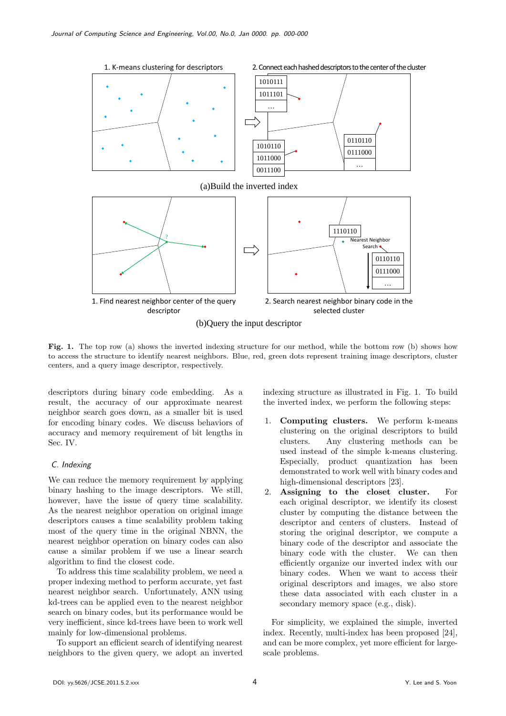

Fig. 1. The top row (a) shows the inverted indexing structure for our method, while the bottom row (b) shows how to access the structure to identify nearest neighbors. Blue, red, green dots represent training image descriptors, cluster centers, and a query image descriptor, respectively.

descriptors during binary code embedding. As a result, the accuracy of our approximate nearest neighbor search goes down, as a smaller bit is used for encoding binary codes. We discuss behaviors of accuracy and memory requirement of bit lengths in Sec. IV.

# C. Indexing

We can reduce the memory requirement by applying binary hashing to the image descriptors. We still, however, have the issue of query time scalability. As the nearest neighbor operation on original image descriptors causes a time scalability problem taking most of the query time in the original NBNN, the nearest neighbor operation on binary codes can also cause a similar problem if we use a linear search algorithm to find the closest code.

To address this time scalability problem, we need a proper indexing method to perform accurate, yet fast nearest neighbor search. Unfortunately, ANN using kd-trees can be applied even to the nearest neighbor search on binary codes, but its performance would be very inefficient, since kd-trees have been to work well mainly for low-dimensional problems.

To support an efficient search of identifying nearest neighbors to the given query, we adopt an inverted indexing structure as illustrated in Fig. 1. To build the inverted index, we perform the following steps:

- 1. Computing clusters. We perform k-means clustering on the original descriptors to build clusters. Any clustering methods can be used instead of the simple k-means clustering. Especially, product quantization has been demonstrated to work well with binary codes and high-dimensional descriptors [23].
- 2. Assigning to the closet cluster. For each original descriptor, we identify its closest cluster by computing the distance between the descriptor and centers of clusters. Instead of storing the original descriptor, we compute a binary code of the descriptor and associate the binary code with the cluster. We can then efficiently organize our inverted index with our binary codes. When we want to access their original descriptors and images, we also store these data associated with each cluster in a secondary memory space (e.g., disk).

For simplicity, we explained the simple, inverted index. Recently, multi-index has been proposed [24], and can be more complex, yet more efficient for largescale problems.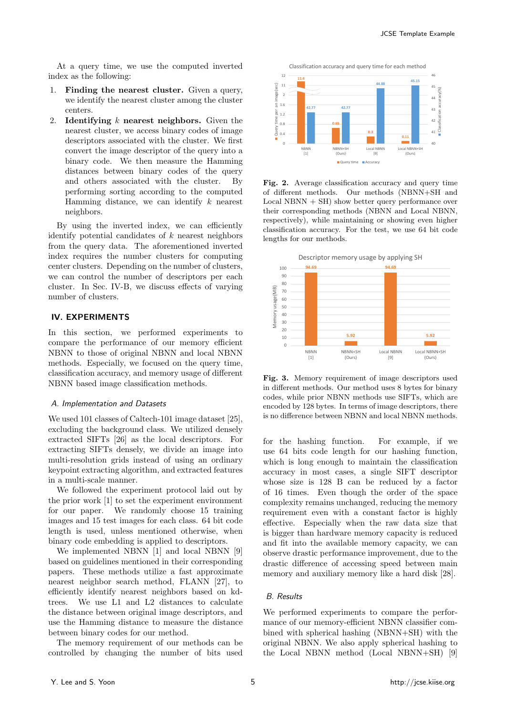At a query time, we use the computed inverted index as the following:

- 1. Finding the nearest cluster. Given a query, we identify the nearest cluster among the cluster centers.
- 2. Identifying  $k$  nearest neighbors. Given the nearest cluster, we access binary codes of image descriptors associated with the cluster. We first convert the image descriptor of the query into a binary code. We then measure the Hamming distances between binary codes of the query and others associated with the cluster. By performing sorting according to the computed Hamming distance, we can identify  $k$  nearest neighbors.

By using the inverted index, we can efficiently identify potential candidates of  $k$  nearest neighbors from the query data. The aforementioned inverted index requires the number clusters for computing center clusters. Depending on the number of clusters, we can control the number of descriptors per each cluster. In Sec. IV-B, we discuss effects of varying number of clusters.

# IV. EXPERIMENTS

In this section, we performed experiments to compare the performance of our memory efficient NBNN to those of original NBNN and local NBNN methods. Especially, we focused on the query time, classification accuracy, and memory usage of different NBNN based image classification methods.

# A. Implementation and Datasets

We used 101 classes of Caltech-101 image dataset [25], excluding the background class. We utilized densely extracted SIFTs [26] as the local descriptors. For extracting SIFTs densely, we divide an image into multi-resolution grids instead of using an ordinary keypoint extracting algorithm, and extracted features in a multi-scale manner.

We followed the experiment protocol laid out by the prior work [1] to set the experiment environment for our paper. We randomly choose 15 training images and 15 test images for each class. 64 bit code length is used, unless mentioned otherwise, when binary code embedding is applied to descriptors.

We implemented NBNN [1] and local NBNN [9] based on guidelines mentioned in their corresponding papers. These methods utilize a fast approximate nearest neighbor search method, FLANN [27], to efficiently identify nearest neighbors based on kdtrees. We use L1 and L2 distances to calculate the distance between original image descriptors, and use the Hamming distance to measure the distance between binary codes for our method.

The memory requirement of our methods can be controlled by changing the number of bits used



Fig. 2. Average classification accuracy and query time of different methods. Our methods (NBNN+SH and  $Local NBNN + SH)$  show better query performance over their corresponding methods (NBNN and Local NBNN, respectively), while maintaining or showing even higher classification accuracy. For the test, we use 64 bit code lengths for our methods.



Fig. 3. Memory requirement of image descriptors used in different methods. Our method uses 8 bytes for binary codes, while prior NBNN methods use SIFTs, which are encoded by 128 bytes. In terms of image descriptors, there is no difference between NBNN and local NBNN methods.

for the hashing function. For example, if we use 64 bits code length for our hashing function, which is long enough to maintain the classification accuracy in most cases, a single SIFT descriptor whose size is 128 B can be reduced by a factor of 16 times. Even though the order of the space complexity remains unchanged, reducing the memory requirement even with a constant factor is highly effective. Especially when the raw data size that is bigger than hardware memory capacity is reduced and fit into the available memory capacity, we can observe drastic performance improvement, due to the drastic difference of accessing speed between main memory and auxiliary memory like a hard disk [28].

# B. Results

We performed experiments to compare the performance of our memory-efficient NBNN classifier combined with spherical hashing (NBNN+SH) with the original NBNN. We also apply spherical hashing to the Local NBNN method (Local NBNN+SH) [9]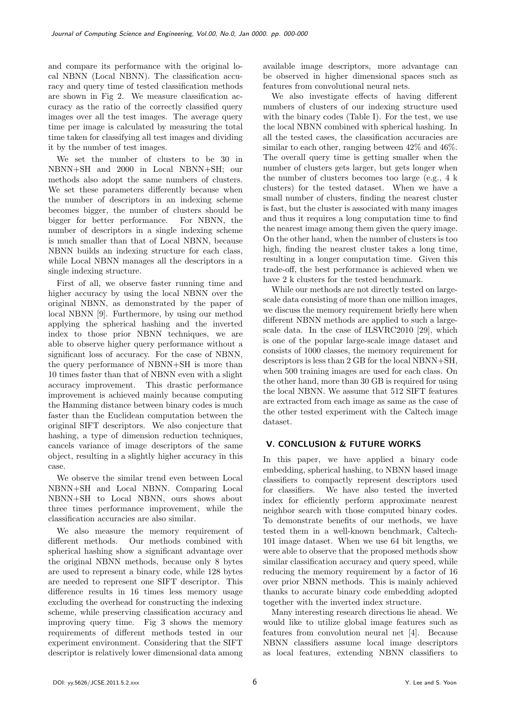and compare its performance with the original local NBNN (Local NBNN). The classification accuracy and query time of tested classification methods are shown in Fig 2. We measure classification accuracy as the ratio of the correctly classified query images over all the test images. The average query time per image is calculated by measuring the total time taken for classifying all test images and dividing it by the number of test images.

We set the number of clusters to be 30 in NBNN+SH and 2000 in Local NBNN+SH; our methods also adopt the same numbers of clusters. We set these parameters differently because when the number of descriptors in an indexing scheme becomes bigger, the number of clusters should be bigger for better performance. For NBNN, the number of descriptors in a single indexing scheme is much smaller than that of Local NBNN, because NBNN builds an indexing structure for each class, while Local NBNN manages all the descriptors in a single indexing structure.

First of all, we observe faster running time and higher accuracy by using the local NBNN over the original NBNN, as demonstrated by the paper of local NBNN [9]. Furthermore, by using our method applying the spherical hashing and the inverted index to those prior NBNN techniques, we are able to observe higher query performance without a significant loss of accuracy. For the case of NBNN, the query performance of NBNN+SH is more than 10 times faster than that of NBNN even with a slight accuracy improvement. This drastic performance improvement is achieved mainly because computing the Hamming distance between binary codes is much faster than the Euclidean computation between the original SIFT descriptors. We also conjecture that hashing, a type of dimension reduction techniques, cancels variance of image descriptors of the same object, resulting in a slightly higher accuracy in this case.

We observe the similar trend even between Local NBNN+SH and Local NBNN. Comparing Local NBNN+SH to Local NBNN, ours shows about three times performance improvement, while the classification accuracies are also similar.

We also measure the memory requirement of different methods. Our methods combined with spherical hashing show a significant advantage over the original NBNN methods, because only 8 bytes are used to represent a binary code, while 128 bytes are needed to represent one SIFT descriptor. This difference results in 16 times less memory usage excluding the overhead for constructing the indexing scheme, while preserving classification accuracy and improving query time. Fig 3 shows the memory requirements of different methods tested in our experiment environment. Considering that the SIFT descriptor is relatively lower dimensional data among

available image descriptors, more advantage can be observed in higher dimensional spaces such as features from convolutional neural nets.

We also investigate effects of having different numbers of clusters of our indexing structure used with the binary codes (Table I). For the test, we use the local NBNN combined with spherical hashing. In all the tested cases, the classification accuracies are similar to each other, ranging between 42% and 46%. The overall query time is getting smaller when the number of clusters gets larger, but gets longer when the number of clusters becomes too large (e.g., 4 k clusters) for the tested dataset. When we have a small number of clusters, finding the nearest cluster is fast, but the cluster is associated with many images and thus it requires a long computation time to find the nearest image among them given the query image. On the other hand, when the number of clusters is too high, finding the nearest cluster takes a long time, resulting in a longer computation time. Given this trade-off, the best performance is achieved when we have 2 k clusters for the tested benchmark.

While our methods are not directly tested on largescale data consisting of more than one million images, we discuss the memory requirement briefly here when different NBNN methods are applied to such a largescale data. In the case of ILSVRC2010 [29], which is one of the popular large-scale image dataset and consists of 1000 classes, the memory requirement for descriptors is less than 2 GB for the local NBNN+SH, when 500 training images are used for each class. On the other hand, more than 30 GB is required for using the local NBNN. We assume that 512 SIFT features are extracted from each image as same as the case of the other tested experiment with the Caltech image dataset.

# V. CONCLUSION & FUTURE WORKS

In this paper, we have applied a binary code embedding, spherical hashing, to NBNN based image classifiers to compactly represent descriptors used for classifiers. We have also tested the inverted index for efficiently perform approximate nearest neighbor search with those computed binary codes. To demonstrate benefits of our methods, we have tested them in a well-known benchmark, Caltech-101 image dataset. When we use 64 bit lengths, we were able to observe that the proposed methods show similar classification accuracy and query speed, while reducing the memory requirement by a factor of 16 over prior NBNN methods. This is mainly achieved thanks to accurate binary code embedding adopted together with the inverted index structure.

Many interesting research directions lie ahead. We would like to utilize global image features such as features from convolution neural net [4]. Because NBNN classifiers assume local image descriptors as local features, extending NBNN classifiers to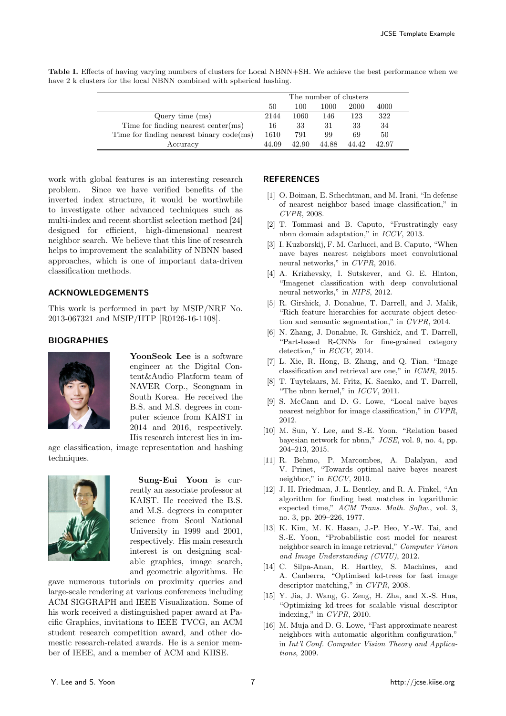|                                            | The number of clusters |       |       |       |       |
|--------------------------------------------|------------------------|-------|-------|-------|-------|
|                                            | 50                     | 100   | 1000  | 2000  | 4000  |
| Query time $(ms)$                          | 2144                   | 1060  | 146   | 123   | 322   |
| Time for finding nearest center $(ms)$     | 16                     | 33    | 31    | 33    | 34    |
| Time for finding nearest binary $code(ms)$ | 1610                   | 791   | 99    | 69    | 50    |
| Accuracy                                   | 44.09                  | 42.90 | 44.88 | 44.42 | 42.97 |

Table I. Effects of having varying numbers of clusters for Local NBNN+SH. We achieve the best performance when we have 2 k clusters for the local NBNN combined with spherical hashing.

work with global features is an interesting research problem. Since we have verified benefits of the inverted index structure, it would be worthwhile to investigate other advanced techniques such as multi-index and recent shortlist selection method [24] designed for efficient, high-dimensional nearest neighbor search. We believe that this line of research helps to improvement the scalability of NBNN based approaches, which is one of important data-driven classification methods.

### ACKNOWLEDGEMENTS

This work is performed in part by MSIP/NRF No. 2013-067321 and MSIP/IITP [R0126-16-1108].

# **BIOGRAPHIES**



YoonSeok Lee is a software engineer at the Digital Content&Audio Platform team of NAVER Corp., Seongnam in South Korea. He received the B.S. and M.S. degrees in computer science from KAIST in 2014 and 2016, respectively. His research interest lies in im-

age classification, image representation and hashing techniques.



Sung-Eui Yoon is currently an associate professor at KAIST. He received the B.S. and M.S. degrees in computer science from Seoul National University in 1999 and 2001, respectively. His main research interest is on designing scalable graphics, image search, and geometric algorithms. He

gave numerous tutorials on proximity queries and large-scale rendering at various conferences including ACM SIGGRAPH and IEEE Visualization. Some of his work received a distinguished paper award at Pacific Graphics, invitations to IEEE TVCG, an ACM student research competition award, and other domestic research-related awards. He is a senior member of IEEE, and a member of ACM and KIISE.

# **REFERENCES**

- [1] O. Boiman, E. Schechtman, and M. Irani, "In defense of nearest neighbor based image classification," in CVPR, 2008.
- [2] T. Tommasi and B. Caputo, "Frustratingly easy nbnn domain adaptation," in ICCV, 2013.
- [3] I. Kuzborskij, F. M. Carlucci, and B. Caputo, "When nave bayes nearest neighbors meet convolutional neural networks," in CVPR, 2016.
- [4] A. Krizhevsky, I. Sutskever, and G. E. Hinton, "Imagenet classification with deep convolutional neural networks," in NIPS, 2012.
- [5] R. Girshick, J. Donahue, T. Darrell, and J. Malik, "Rich feature hierarchies for accurate object detection and semantic segmentation," in CVPR, 2014.
- [6] N. Zhang, J. Donahue, R. Girshick, and T. Darrell, "Part-based R-CNNs for fine-grained category detection," in *ECCV*, 2014.
- [7] L. Xie, R. Hong, B. Zhang, and Q. Tian, "Image classification and retrieval are one," in ICMR, 2015.
- [8] T. Tuytelaars, M. Fritz, K. Saenko, and T. Darrell, "The nbnn kernel," in ICCV, 2011.
- [9] S. McCann and D. G. Lowe, "Local naive bayes nearest neighbor for image classification," in CVPR, 2012.
- [10] M. Sun, Y. Lee, and S.-E. Yoon, "Relation based bayesian network for nbnn," JCSE, vol. 9, no. 4, pp. 204–213, 2015.
- [11] R. Behmo, P. Marcombes, A. Dalalyan, and V. Prinet, "Towards optimal naive bayes nearest neighbor," in ECCV, 2010.
- [12] J. H. Friedman, J. L. Bentley, and R. A. Finkel, "An algorithm for finding best matches in logarithmic expected time," ACM Trans. Math. Softw., vol. 3, no. 3, pp. 209–226, 1977.
- [13] K. Kim, M. K. Hasan, J.-P. Heo, Y.-W. Tai, and S.-E. Yoon, "Probabilistic cost model for nearest neighbor search in image retrieval," Computer Vision and Image Understanding (CVIU), 2012.
- [14] C. Silpa-Anan, R. Hartley, S. Machines, and A. Canberra, "Optimised kd-trees for fast image descriptor matching," in CVPR, 2008.
- [15] Y. Jia, J. Wang, G. Zeng, H. Zha, and X.-S. Hua, "Optimizing kd-trees for scalable visual descriptor indexing," in CVPR, 2010.
- [16] M. Muja and D. G. Lowe, "Fast approximate nearest neighbors with automatic algorithm configuration," in Int'l Conf. Computer Vision Theory and Applications, 2009.